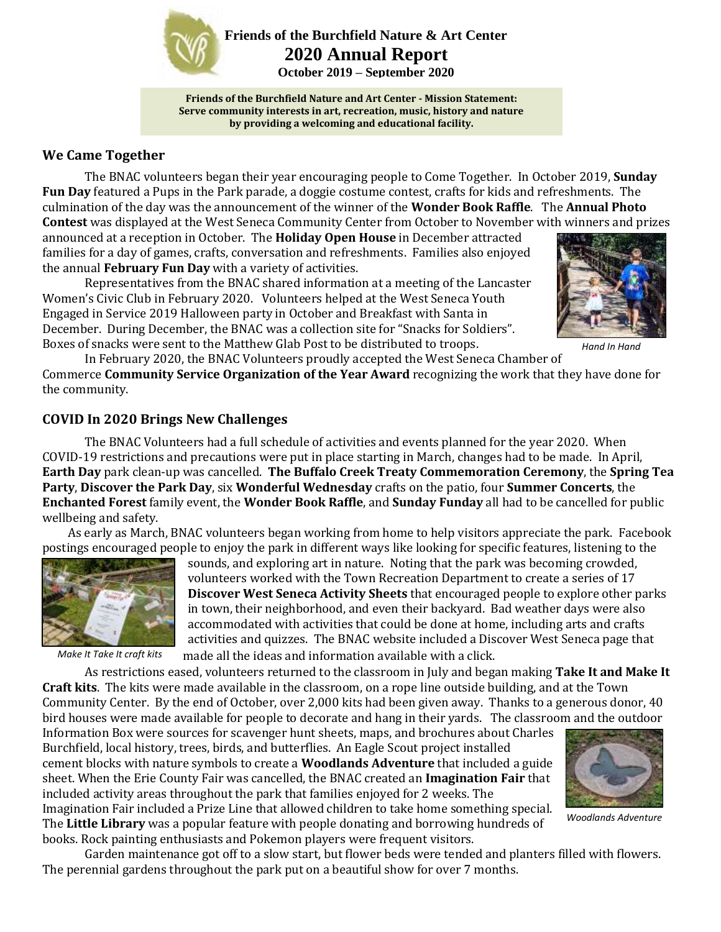

**Friends of the Burchfield Nature & Art Center 2020 Annual Report**

**October 2019 – September 2020**

**Friends of the Burchfield Nature and Art Center - Mission Statement: Serve community interests in art, recreation, music, history and nature by providing a welcoming and educational facility.**

## **We Came Together**

The BNAC volunteers began their year encouraging people to Come Together. In October 2019, **Sunday Fun Day** featured a Pups in the Park parade, a doggie costume contest, crafts for kids and refreshments. The culmination of the day was the announcement of the winner of the **Wonder Book Raffle**. The **Annual Photo Contest** was displayed at the West Seneca Community Center from October to November with winners and prizes

announced at a reception in October. The **Holiday Open House** in December attracted families for a day of games, crafts, conversation and refreshments. Families also enjoyed the annual **February Fun Day** with a variety of activities.

Representatives from the BNAC shared information at a meeting of the Lancaster Women's Civic Club in February 2020. Volunteers helped at the West Seneca Youth Engaged in Service 2019 Halloween party in October and Breakfast with Santa in December. During December, the BNAC was a collection site for "Snacks for Soldiers". Boxes of snacks were sent to the Matthew Glab Post to be distributed to troops.



*Hand In Hand*

In February 2020, the BNAC Volunteers proudly accepted the West Seneca Chamber of Commerce **Community Service Organization of the Year Award** recognizing the work that they have done for the community.

## **COVID In 2020 Brings New Challenges**

The BNAC Volunteers had a full schedule of activities and events planned for the year 2020. When COVID-19 restrictions and precautions were put in place starting in March, changes had to be made. In April, **Earth Day** park clean-up was cancelled. **The Buffalo Creek Treaty Commemoration Ceremony**, the **Spring Tea Party**, **Discover the Park Day**, six **Wonderful Wednesday** crafts on the patio, four **Summer Concerts**, the **Enchanted Forest** family event, the **Wonder Book Raffle**, and **Sunday Funday** all had to be cancelled for public wellbeing and safety.

 As early as March, BNAC volunteers began working from home to help visitors appreciate the park. Facebook postings encouraged people to enjoy the park in different ways like looking for specific features, listening to the



*Make It Take It craft kits*

sounds, and exploring art in nature. Noting that the park was becoming crowded, volunteers worked with the Town Recreation Department to create a series of 17 **Discover West Seneca Activity Sheets** that encouraged people to explore other parks in town, their neighborhood, and even their backyard. Bad weather days were also accommodated with activities that could be done at home, including arts and crafts activities and quizzes. The BNAC website included a Discover West Seneca page that made all the ideas and information available with a click.

As restrictions eased, volunteers returned to the classroom in July and began making **Take It and Make It Craft kits**. The kits were made available in the classroom, on a rope line outside building, and at the Town Community Center. By the end of October, over 2,000 kits had been given away. Thanks to a generous donor, 40 bird houses were made available for people to decorate and hang in their yards. The classroom and the outdoor

Information Box were sources for scavenger hunt sheets, maps, and brochures about Charles Burchfield, local history, trees, birds, and butterflies. An Eagle Scout project installed cement blocks with nature symbols to create a **Woodlands Adventure** that included a guide sheet. When the Erie County Fair was cancelled, the BNAC created an **Imagination Fair** that included activity areas throughout the park that families enjoyed for 2 weeks. The Imagination Fair included a Prize Line that allowed children to take home something special. The **Little Library** was a popular feature with people donating and borrowing hundreds of



*Woodlands Adventure*

books. Rock painting enthusiasts and Pokemon players were frequent visitors.

Garden maintenance got off to a slow start, but flower beds were tended and planters filled with flowers. The perennial gardens throughout the park put on a beautiful show for over 7 months.